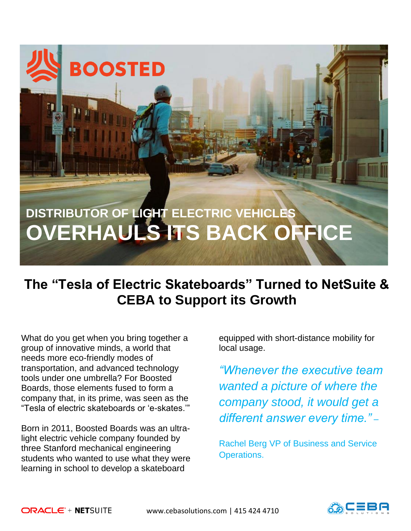# **DISTRIBUTOR OF LIGHT ELECTRIC VEHICLES OVERHAULS ITS BACK OFFICE**

## **The "Tesla of Electric Skateboards" Turned to NetSuite & CEBA to Support its Growth**

What do you get when you bring together a group of innovative minds, a world that needs more eco-friendly modes of transportation, and advanced technology tools under one umbrella? For Boosted Boards, those elements fused to form a company that, in its prime, was seen as the "Tesla of electric skateboards or 'e-skates.'"

**BOOSTED** 

Born in 2011, Boosted Boards was an ultralight electric vehicle company founded by three Stanford mechanical engineering students who wanted to use what they were learning in school to develop a skateboard

equipped with short-distance mobility for local usage.

*"Whenever the executive team wanted a picture of where the company stood, it would get a different answer every time."* –

Rachel Berg VP of Business and Service Operations.

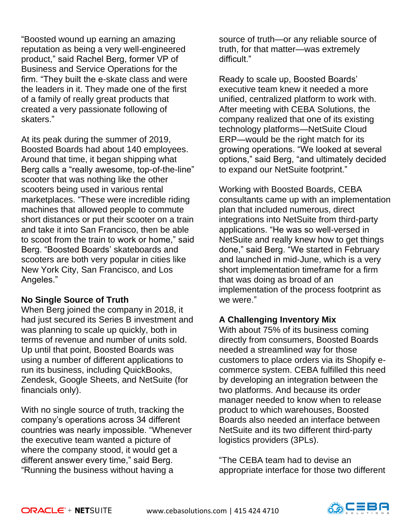"Boosted wound up earning an amazing reputation as being a very well-engineered product," said Rachel Berg, former VP of Business and Service Operations for the firm. "They built the e-skate class and were the leaders in it. They made one of the first of a family of really great products that created a very passionate following of skaters."

At its peak during the summer of 2019, Boosted Boards had about 140 employees. Around that time, it began shipping what Berg calls a "really awesome, top-of-the-line" scooter that was nothing like the other scooters being used in various rental marketplaces. "These were incredible riding machines that allowed people to commute short distances or put their scooter on a train and take it into San Francisco, then be able to scoot from the train to work or home," said Berg. "Boosted Boards' skateboards and scooters are both very popular in cities like New York City, San Francisco, and Los Angeles."

### **No Single Source of Truth**

When Berg joined the company in 2018, it had just secured its Series B investment and was planning to scale up quickly, both in terms of revenue and number of units sold. Up until that point, Boosted Boards was using a number of different applications to run its business, including QuickBooks, Zendesk, Google Sheets, and NetSuite (for financials only).

With no single source of truth, tracking the company's operations across 34 different countries was nearly impossible. "Whenever the executive team wanted a picture of where the company stood, it would get a different answer every time," said Berg. "Running the business without having a

source of truth—or any reliable source of truth, for that matter—was extremely difficult."

Ready to scale up, Boosted Boards' executive team knew it needed a more unified, centralized platform to work with. After meeting with CEBA Solutions, the company realized that one of its existing technology platforms—NetSuite Cloud ERP—would be the right match for its growing operations. "We looked at several options," said Berg, "and ultimately decided to expand our NetSuite footprint."

Working with Boosted Boards, CEBA consultants came up with an implementation plan that included numerous, direct integrations into NetSuite from third-party applications. "He was so well-versed in NetSuite and really knew how to get things done," said Berg. "We started in February and launched in mid-June, which is a very short implementation timeframe for a firm that was doing as broad of an implementation of the process footprint as we were."

### **A Challenging Inventory Mix**

With about 75% of its business coming directly from consumers, Boosted Boards needed a streamlined way for those customers to place orders via its Shopify ecommerce system. CEBA fulfilled this need by developing an integration between the two platforms. And because its order manager needed to know when to release product to which warehouses, Boosted Boards also needed an interface between NetSuite and its two different third-party logistics providers (3PLs).

"The CEBA team had to devise an appropriate interface for those two different